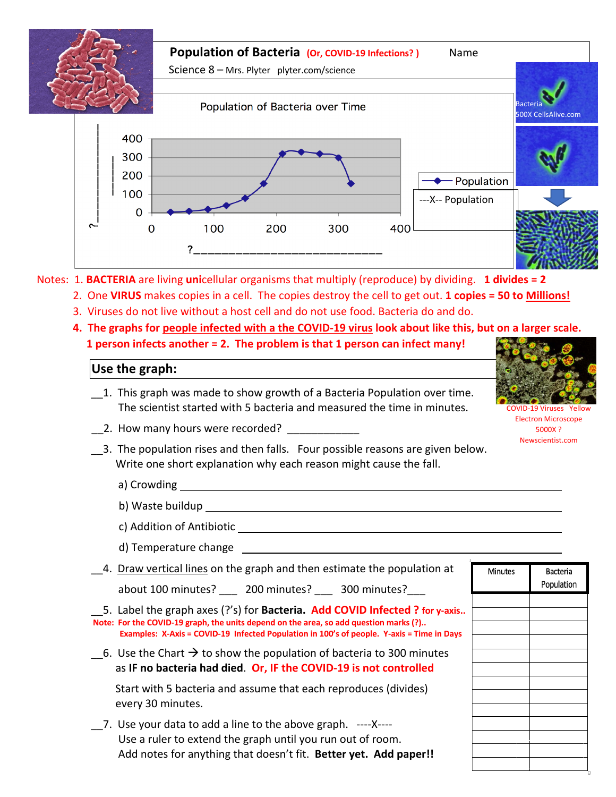

- 3. Viruses do not live without a host cell and do not use food. Bacteria do and do.
- **4. The graphs for people infected with a the COVID-19 virus look about like this, but on a larger scale.**

 **1 person infects another = 2. The problem is that 1 person can infect many!**

## **Use the graph:**

- \_\_1. This graph was made to show growth of a Bacteria Population over time. The scientist started with 5 bacteria and measured the time in minutes.
- \_\_2. How many hours were recorded?
- \_\_3. The population rises and then falls. Four possible reasons are given below. Write one short explanation why each reason might cause the fall.
	- a) Crowding
	- b) Waste buildup
	- c) Addition of Antibiotic
	- d) Temperature change
- \_\_4. Draw vertical lines on the graph and then estimate the population at

about 100 minutes? \_\_\_ 200 minutes? \_\_\_ 300 minutes?\_\_\_

\_\_5. Label the graph axes (?'s) for **Bacteria. Add COVID Infected ? for y-axis.. Note: For the COVID-19 graph, the units depend on the area, so add question marks (?).. Examples: X-Axis = COVID-19 Infected Population in 100's of people. Y-axis = Time in Days**

 $\overline{\phantom{a}}$  6. Use the Chart  $\rightarrow$  to show the population of bacteria to 300 minutes as **IF no bacteria had died**. **Or, IF the COVID-19 is not controlled**

 Start with 5 bacteria and assume that each reproduces (divides) every 30 minutes.

\_\_7. Use your data to add a line to the above graph. ----X---- Use a ruler to extend the graph until you run out of room. Add notes for anything that doesn't fit. **Better yet. Add paper!!**



Viruses Electron Microscope 5000X ? Newscientist.com